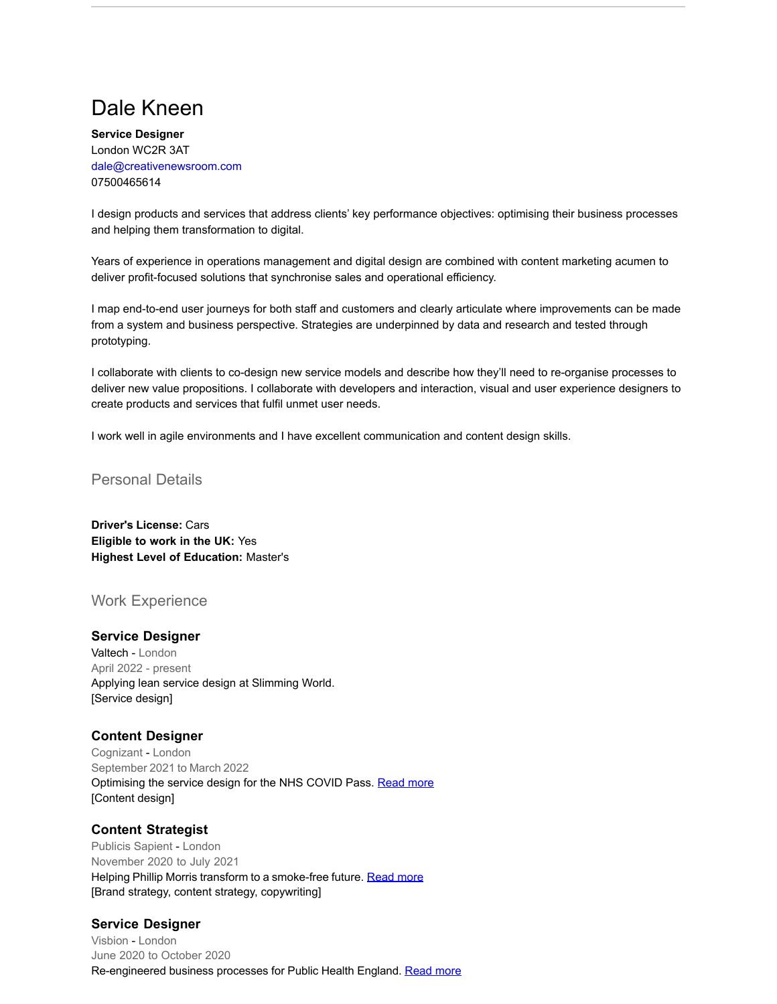# Dale Kneen

**Service Designer** London WC2R 3AT [dale@creativenewsroom.com](mailto:dale@creativenewsroom.com) 07500465614

I design products and services that address clients' key performance objectives: optimising their business processes and helping them transformation to digital.

Years of experience in operations management and digital design are combined with content marketing acumen to deliver profit-focused solutions that synchronise sales and operational efficiency.

I map end-to-end user journeys for both staff and customers and clearly articulate where improvements can be made from a system and business perspective. Strategies are underpinned by data and research and tested through prototyping.

I collaborate with clients to co-design new service models and describe how they'll need to re-organise processes to deliver new value propositions. I collaborate with developers and interaction, visual and user experience designers to create products and services that fulfil unmet user needs.

I work well in agile environments and I have excellent communication and content design skills.

#### Personal Details

**Driver's License:** Cars **Eligible to work in the UK:** Yes **Highest Level of Education:** Master's

## Work Experience

#### **Service Designer**

Valtech - London April 2022 - present Applying lean service design at Slimming World. [Service design]

#### **Content Designer**

Cognizant - London September 2021 to March 2022 Optimising the service design for the NHS COVID Pass. [Read more](https://www.creativenewsroom.com/nhs-covid-pass) [Content design]

#### **Content Strategist**

Publicis Sapient - London November 2020 to July 2021 Helping Phillip Morris transform to a smoke-free future. [Read more](https://www.creativenewsroom.com/phillip-morris) [Brand strategy, content strategy, copywriting]

#### **Service Designer**

Visbion - London June 2020 to October 2020 Re-engineered business processes for Public Health England. [Read more](https://www.creativenewsroom.com/public-health-england)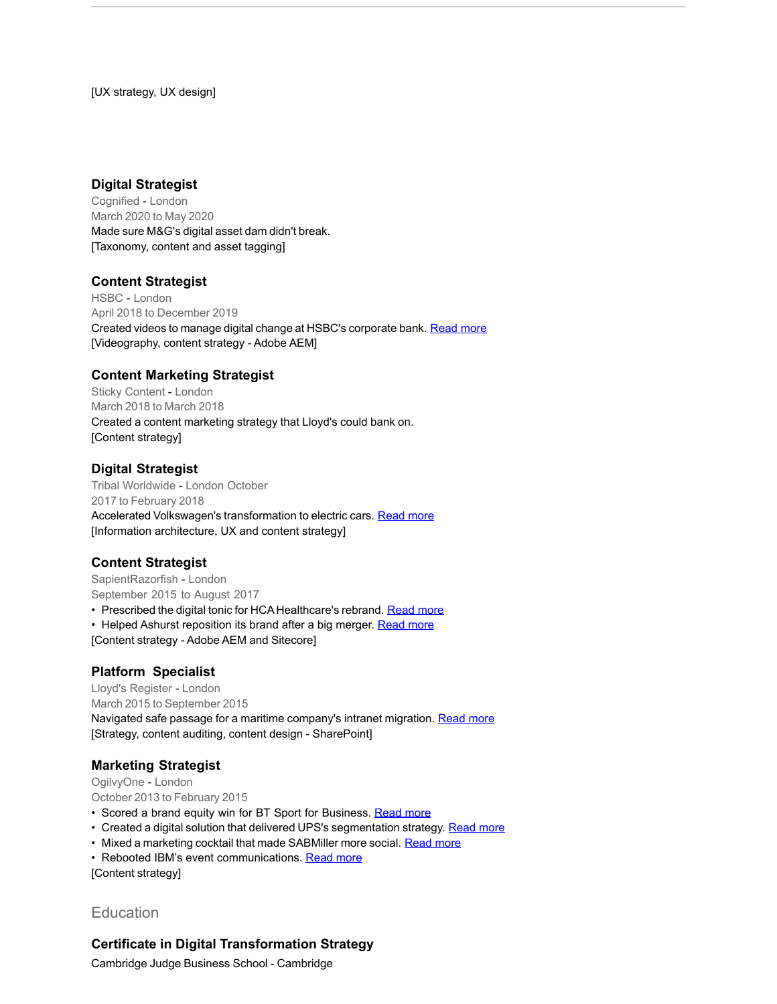[UX strategy, UX design]

## **Digital Strategist**

Cognified - London March 2020 to May 2020 Made sure M&G's digital asset dam didn't break. [Taxonomy, content and asset tagging]

#### **Content Strategist**

HSBC - London April 2018 to December 2019 Created videos to manage digital change at HSBC's corporate bank. [Read more](https://www.creativenewsroom.com/hsbc) [Videography, content strategy - Adobe AEM]

#### **Content Marketing Strategist**

Sticky Content - London March 2018 to March 2018 Created a content marketing strategy that Lloyd's could bank on. [Content strategy]

#### **Digital Strategist**

Tribal Worldwide - London October 2017 to February 2018 Accelerated Volkswagen's transformation to electric cars. [Read more](https://www.creativenewsroom.com/volkswagen) [Information architecture, UX and content strategy]

#### **Content Strategist**

SapientRazorfish - London September 2015 to August 2017

• Prescribed the digital tonic for HCA Healthcare's rebrand. [Read more](https://www.creativenewsroom.com/hca-healthcare)

- Helped Ashurst reposition its brand after a big merger. [Read more](https://www.creativenewsroom.com/ashurst)
- [Content strategy Adobe AEM and Sitecore]

#### **Platform Specialist**

Lloyd's Register - London March 2015 to September 2015 Navigated safe passage for a maritime company's intranet migration. [Read more](https://www.creativenewsroom.com/lloyds-register) [Strategy, content auditing, content design - SharePoint]

#### **Marketing Strategist**

OgilvyOne - London October 2013 to February 2015

- Scored a brand equity win for BT Sport for Business. [Read more](https://www.creativenewsroom.com/bt-sport-for-business)
- Created a digital solution that delivered UPS's segmentation strategy. [Read more](https://www.creativenewsroom.com/ups)
- Mixed a marketing cocktail that made SABMiller more social. [Read more](https://www.creativenewsroom.com/sabmiller)
- Rebooted IBM's event communications. [Read more](https://www.creativenewsroom.com/ibm)

[Content strategy]

# **Education**

#### **Certificate in Digital Transformation Strategy**

Cambridge Judge Business School - Cambridge